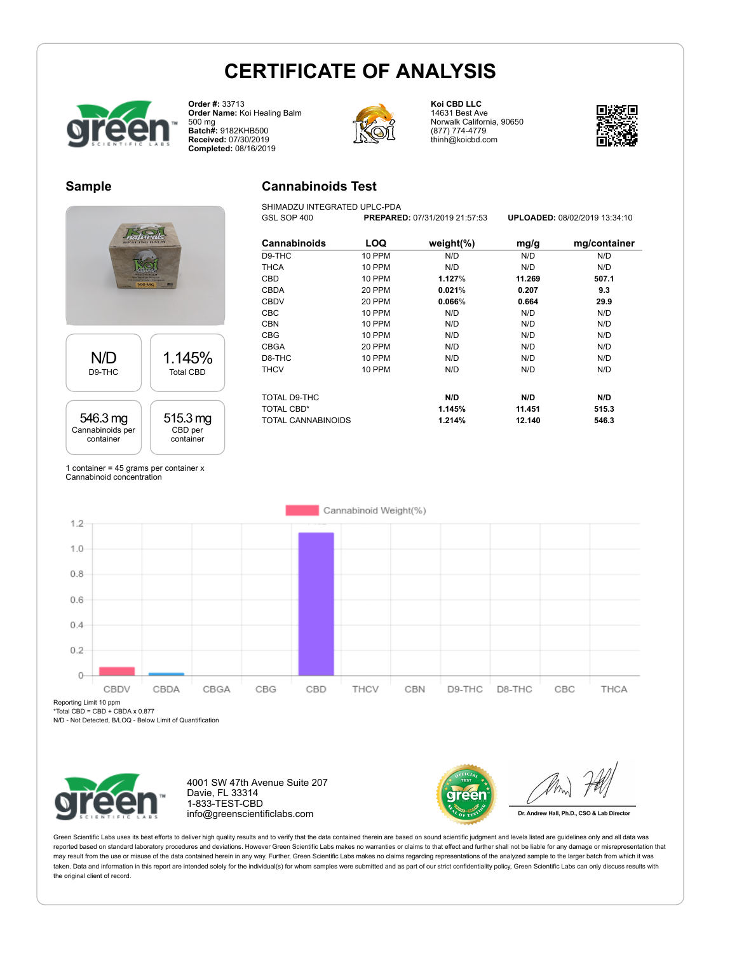**Cannabinoids Test** SHIMADZU INTEGRATED UPLC-PDA



**Order #:** 33713 **Order Name:** Koi Healing Balm 500 mg **Batch#:** 9182KHB500 **Received:** 07/30/2019 **Completed:** 08/16/2019



**Koi CBD LLC** 14631 Best Ave Norwalk California, 90650 (877) 774-4779 thinh@koicbd.com



## **Sample**



**Cannabinoids LOQ weight(%) mg/g mg/container** D9-THC 10 PPM N/D N/D N/D THCA 10 PPM N/D N/D N/D CBD 10 PPM **1.127**% **11.269 507.1** CBDA 20 PPM **0.021**% **0.207 9.3** CBDV 20 PPM **0.066**% **0.664 29.9** CBC 10 PPM N/D N/D N/D CBN 10 PPM N/D N/D N/D CBG 10 PPM N/D N/D N/D CBGA 20 PPM N/D N/D N/D D8-THC 10 PPM N/D N/D N/D THCV 10 PPM N/D N/D N/D TOTAL D9-THC **N/D N/D N/D** TOTAL CBD\* **1.145% 11.451 515.3** TOTAL CANNABINOIDS **1.214% 12.140 546.3**

GSL SOP 400 **PREPARED:** 07/31/2019 21:57:53 **UPLOADED:** 08/02/2019 13:34:10

1 container = 45 grams per container x Cannabinoid concentration



Reporting Limit 10 ppm

\*Total CBD = CBD + CBDA x 0.877

N/D - Not Detected, B/LOQ - Below Limit of Quantification



4001 SW 47th Avenue Suite 207 Davie, FL 33314 1-833-TEST-CBD info@greenscientificlabs.com



Dr. Andrew Hall, Ph.D., CSO & Lab Director

Green Scientific Labs uses its best efforts to deliver high quality results and to verify that the data contained therein are based on sound scientific judgment and levels listed are quidelines only and all data was reported based on standard laboratory procedures and deviations. However Green Scientific Labs makes no warranties or claims to that effect and further shall not be liable for any damage or misrepresentation that may result from the use or misuse of the data contained herein in any way. Further, Green Scientific Labs makes no claims regarding representations of the analyzed sample to the larger batch from which it was taken. Data and information in this report are intended solely for the individual(s) for whom samples were submitted and as part of our strict confidentiality policy, Green Scientific Labs can only discuss results with the original client of record.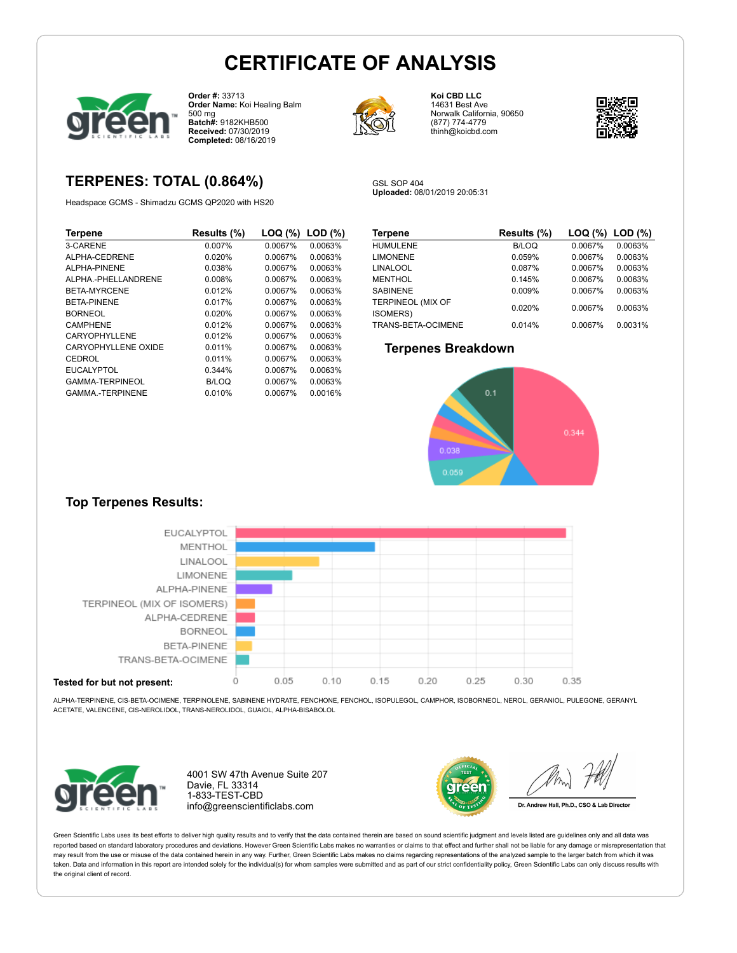

**Order #:** 33713 **Order Name:** Koi Healing Balm 500 mg **Batch#:** 9182KHB500 **Received:** 07/30/2019 **Completed:** 08/16/2019

# **TERPENES: TOTAL (0.864%)**

Headspace GCMS - Shimadzu GCMS QP2020 with HS20

| <b>Terpene</b>         | Results (%) | LOQ (%) | $LOD (\%)$ |
|------------------------|-------------|---------|------------|
| 3-CARENE               | 0.007%      | 0.0067% | 0.0063%    |
| ALPHA-CEDRENE          | 0.020%      | 0.0067% | 0.0063%    |
| AI PHA-PINFNF          | 0.038%      | 0.0067% | 0.0063%    |
| ALPHA.-PHELLANDRENE    | 0.008%      | 0.0067% | 0.0063%    |
| <b>BETA-MYRCENE</b>    | 0.012%      | 0.0067% | 0.0063%    |
| <b>BETA-PINENE</b>     | 0.017%      | 0.0067% | 0.0063%    |
| <b>BORNEOL</b>         | 0.020%      | 0.0067% | 0.0063%    |
| CAMPHENE               | 0.012%      | 0.0067% | 0.0063%    |
| CARYOPHYLLENE          | 0.012%      | 0.0067% | 0.0063%    |
| CARYOPHYLLENE OXIDE    | 0.011%      | 0.0067% | 0.0063%    |
| CEDROL                 | 0.011%      | 0.0067% | 0.0063%    |
| <b>EUCALYPTOL</b>      | 0.344%      | 0.0067% | 0.0063%    |
| GAMMA-TERPINEOL        | B/LOQ       | 0.0067% | 0.0063%    |
| <b>GAMMA-TERPINENE</b> | 0.010%      | 0.0067% | 0.0016%    |



**Koi CBD LLC** 14631 Best Ave Norwalk California, 90650 (877) 774-4779 thinh@koicbd.com



GSL SOP 404 **Uploaded:** 08/01/2019 20:05:31

| <b>Terpene</b>                        | Results (%)  | LOG (%) LOD (%) |         |
|---------------------------------------|--------------|-----------------|---------|
| <b>HUMULENE</b>                       | <b>B/LOQ</b> | 0.0067%         | 0.0063% |
| <b>LIMONENE</b>                       | 0.059%       | 0.0067%         | 0.0063% |
| <b>LINALOOL</b>                       | 0.087%       | 0.0067%         | 0.0063% |
| <b>MENTHOL</b>                        | 0.145%       | 0.0067%         | 0.0063% |
| <b>SABINENE</b>                       | 0.009%       | 0.0067%         | 0.0063% |
| TERPINEOL (MIX OF<br><b>ISOMERS</b> ) | 0.020%       | 0.0067%         | 0.0063% |
| TRANS-BETA-OCIMENE                    | 0.014%       | 0.0067%         | 0.0031% |

### **Terpenes Breakdown**



## **Top Terpenes Results:**



ALPHA-TERPINENE, CIS-BETA-OCIMENE, TERPINOLENE, SABINENE HYDRATE, FENCHONE, FENCHOL, ISOPULEGOL, CAMPHOR, ISOBORNEOL, NEROL, GERANIOL, PULEGONE, GERANYL ACETATE, VALENCENE, CIS-NEROLIDOL, TRANS-NEROLIDOL, GUAIOL, ALPHA-BISABOLOL



4001 SW 47th Avenue Suite 207 Davie, FL 33314 1-833-TEST-CBD info@greenscientificlabs.com



Dr. Andrew Hall, Ph.D., CSO & Lab Director

Green Scientific Labs uses its best efforts to deliver high quality results and to verify that the data contained therein are based on sound scientific judgment and levels listed are guidelines only and all data was reported based on standard laboratory procedures and deviations. However Green Scientific Labs makes no warranties or claims to that effect and further shall not be liable for any damage or misrepresentation that may result from the use or misuse of the data contained herein in any way. Further, Green Scientific Labs makes no claims regarding representations of the analyzed sample to the larger batch from which it was taken. Data and information in this report are intended solely for the individual(s) for whom samples were submitted and as part of our strict confidentiality policy. Green Scientific Labs can only discuss results with the original client of record.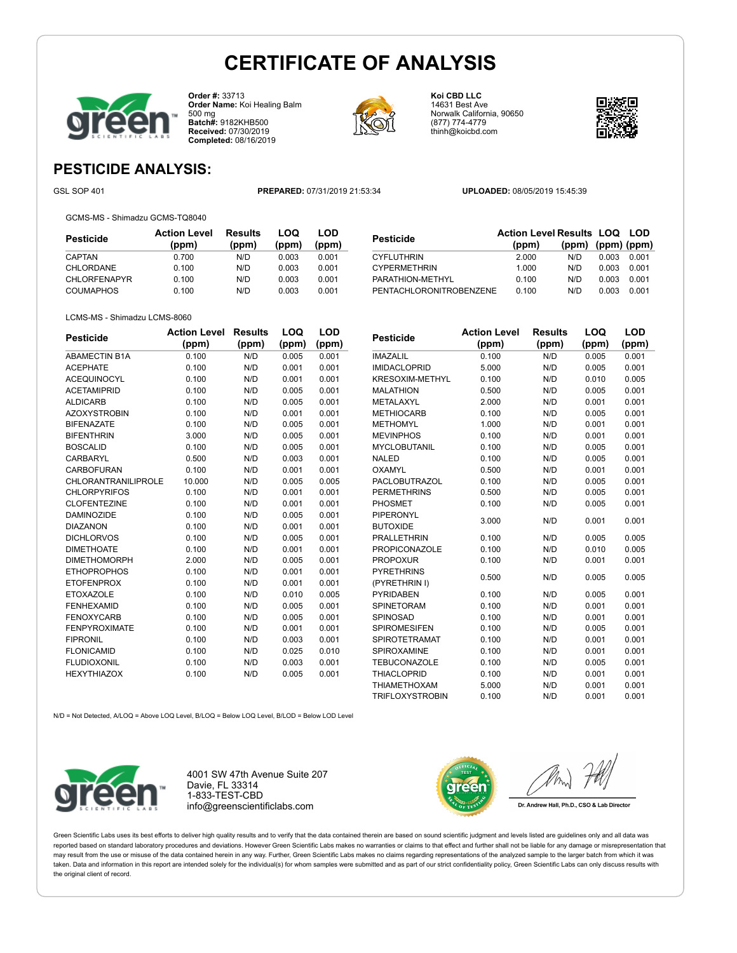

**Order #:** 33713 **Order Name:** Koi Healing Balm 500 mg **Batch#:** 9182KHB500 **Received:** 07/30/2019 **Completed:** 08/16/2019



**Koi CBD LLC** 14631 Best Ave Norwalk California, 90650 (877) 774-4779 thinh@koicbd.com



**LOQ**

# **PESTICIDE ANALYSIS:**

GSL SOP 401 **PREPARED:** 07/31/2019 21:53:34 **UPLOADED:** 08/05/2019 15:45:39

GCMS-MS - Shimadzu GCMS-TQ8040

| <b>Pesticide</b>    | <b>Action Level</b><br>(ppm) | <b>Results</b><br>(ppm) | LOQ<br>(ppm) | LOD<br>(ppm) |
|---------------------|------------------------------|-------------------------|--------------|--------------|
| CAPTAN              | 0.700                        | N/D                     | 0.003        | 0.001        |
| CHLORDANE           | 0.100                        | N/D                     | 0.003        | 0.001        |
| <b>CHLORFENAPYR</b> | 0.100                        | N/D                     | 0.003        | 0.001        |
| <b>COUMAPHOS</b>    | 0.100                        | N/D                     | 0.003        | 0.001        |

| <b>Pesticide</b>        | <b>Action Level Results LOQ LOD</b> |                         |       |       |
|-------------------------|-------------------------------------|-------------------------|-------|-------|
|                         | (ppm)                               | $(ppm)$ $(ppm)$ $(ppm)$ |       |       |
| <b>CYFLUTHRIN</b>       | 2.000                               | N/D                     | 0.003 | 0.001 |
| <b>CYPERMETHRIN</b>     | 1.000                               | N/D                     | 0.003 | 0.001 |
| PARATHION-METHYL        | 0.100                               | N/D                     | 0.003 | 0.001 |
| PENTACHLORONITROBENZENE | 0.100                               | N/D                     | 0.003 | 0.001 |

#### LCMS-MS - Shimadzu LCMS-8060

| <b>Pesticide</b>     | <b>Action Level</b> | <b>Results</b> | LOQ   | LOD   |
|----------------------|---------------------|----------------|-------|-------|
|                      | (ppm)               | (ppm)          | (ppm) | (ppm) |
| <b>ABAMECTIN B1A</b> | 0.100               | N/D            | 0.005 | 0.001 |
| <b>ACEPHATE</b>      | 0.100               | N/D            | 0.001 | 0.001 |
| <b>ACEQUINOCYL</b>   | 0.100               | N/D            | 0.001 | 0.001 |
| <b>ACETAMIPRID</b>   | 0.100               | N/D            | 0.005 | 0.001 |
| <b>ALDICARB</b>      | 0.100               | N/D            | 0.005 | 0.001 |
| <b>AZOXYSTROBIN</b>  | 0.100               | N/D            | 0.001 | 0.001 |
| <b>BIFENAZATE</b>    | 0.100               | N/D            | 0.005 | 0.001 |
| <b>BIFENTHRIN</b>    | 3.000               | N/D            | 0.005 | 0.001 |
| <b>BOSCALID</b>      | 0.100               | N/D            | 0.005 | 0.001 |
| CARBARYL             | 0.500               | N/D            | 0.003 | 0.001 |
| CARBOFURAN           | 0.100               | N/D            | 0.001 | 0.001 |
| CHLORANTRANILIPROLE  | 10.000              | N/D            | 0.005 | 0.005 |
| <b>CHLORPYRIFOS</b>  | 0.100               | N/D            | 0.001 | 0.001 |
| <b>CLOFENTEZINE</b>  | 0.100               | N/D            | 0.001 | 0.001 |
| <b>DAMINOZIDE</b>    | 0.100               | N/D            | 0.005 | 0.001 |
| <b>DIAZANON</b>      | 0.100               | N/D            | 0.001 | 0.001 |
| <b>DICHLORVOS</b>    | 0.100               | N/D            | 0.005 | 0.001 |
| <b>DIMETHOATE</b>    | 0.100               | N/D            | 0.001 | 0.001 |
| <b>DIMETHOMORPH</b>  | 2.000               | N/D            | 0.005 | 0.001 |
| <b>ETHOPROPHOS</b>   | 0.100               | N/D            | 0.001 | 0.001 |
| <b>ETOFENPROX</b>    | 0.100               | N/D            | 0.001 | 0.001 |
| <b>ETOXAZOLE</b>     | 0.100               | N/D            | 0.010 | 0.005 |
| <b>FENHEXAMID</b>    | 0.100               | N/D            | 0.005 | 0.001 |
| <b>FENOXYCARB</b>    | 0.100               | N/D            | 0.005 | 0.001 |
| <b>FENPYROXIMATE</b> | 0.100               | N/D            | 0.001 | 0.001 |
| <b>FIPRONIL</b>      | 0.100               | N/D            | 0.003 | 0.001 |
| <b>FLONICAMID</b>    | 0.100               | N/D            | 0.025 | 0.010 |
| <b>FLUDIOXONIL</b>   | 0.100               | N/D            | 0.003 | 0.001 |
| <b>HEXYTHIAZOX</b>   | 0.100               | N/D            | 0.005 | 0.001 |
|                      |                     |                |       |       |

| Pesticide              | <b>Action Level</b> | <b>Results</b> | LOQ   | LOD   |
|------------------------|---------------------|----------------|-------|-------|
|                        | (ppm)               | (ppm)          | (ppm) | (ppm) |
| <b>IMAZALIL</b>        | 0.100               | N/D            | 0.005 | 0.001 |
| <b>IMIDACLOPRID</b>    | 5.000               | N/D            | 0.005 | 0.001 |
| <b>KRESOXIM-METHYL</b> | 0.100               | N/D            | 0.010 | 0.005 |
| <b>MALATHION</b>       | 0.500               | N/D            | 0.005 | 0.001 |
| METALAXYL              | 2.000               | N/D            | 0.001 | 0.001 |
| <b>METHIOCARB</b>      | 0.100               | N/D            | 0.005 | 0.001 |
| <b>METHOMYL</b>        | 1.000               | N/D            | 0.001 | 0.001 |
| <b>MEVINPHOS</b>       | 0.100               | N/D            | 0.001 | 0.001 |
| <b>MYCLOBUTANIL</b>    | 0.100               | N/D            | 0.005 | 0.001 |
| <b>NALED</b>           | 0.100               | N/D            | 0.005 | 0.001 |
| <b>OXAMYL</b>          | 0.500               | N/D            | 0.001 | 0.001 |
| <b>PACLOBUTRAZOL</b>   | 0.100               | N/D            | 0.005 | 0.001 |
| <b>PERMETHRINS</b>     | 0.500               | N/D            | 0.005 | 0.001 |
| PHOSMET                | 0.100               | N/D            | 0.005 | 0.001 |
| PIPERONYL              | 3.000               | N/D            | 0.001 | 0.001 |
| <b>BUTOXIDE</b>        |                     |                |       |       |
| <b>PRALLETHRIN</b>     | 0.100               | N/D            | 0.005 | 0.005 |
| <b>PROPICONAZOLE</b>   | 0.100               | N/D            | 0.010 | 0.005 |
| <b>PROPOXUR</b>        | 0.100               | N/D            | 0.001 | 0.001 |
| <b>PYRETHRINS</b>      | 0.500               | N/D            | 0.005 | 0.005 |
| (PYRETHRIN I)          |                     |                |       |       |
| <b>PYRIDABEN</b>       | 0.100               | N/D            | 0.005 | 0.001 |
| <b>SPINETORAM</b>      | 0.100               | N/D            | 0.001 | 0.001 |
| SPINOSAD               | 0.100               | N/D            | 0.001 | 0.001 |
| <b>SPIROMESIFEN</b>    | 0.100               | N/D            | 0.005 | 0.001 |
| SPIROTETRAMAT          | 0.100               | N/D            | 0.001 | 0.001 |
| SPIROXAMINE            | 0.100               | N/D            | 0.001 | 0.001 |
| <b>TEBUCONAZOLE</b>    | 0.100               | N/D            | 0.005 | 0.001 |
| <b>THIACLOPRID</b>     | 0.100               | N/D            | 0.001 | 0.001 |
| <b>THIAMETHOXAM</b>    | 5.000               | N/D            | 0.001 | 0.001 |
| <b>TRIFLOXYSTROBIN</b> | 0.100               | N/D            | 0.001 | 0.001 |

N/D = Not Detected, A/LOQ = Above LOQ Level, B/LOQ = Below LOQ Level, B/LOD = Below LOD Level



4001 SW 47th Avenue Suite 207 Davie, FL 33314 1-833-TEST-CBD info@greenscientificlabs.com



Dr. Andrew Hall, Ph.D., CSO & Lab Director

Green Scientific Labs uses its best efforts to deliver high quality results and to verify that the data contained therein are based on sound scientific judgment and levels listed are guidelines only and all data was reported based on standard laboratory procedures and deviations. However Green Scientific Labs makes no warranties or claims to that effect and further shall not be liable for any damage or misrepresentation that may result from the use or misuse of the data contained herein in any way. Further, Green Scientific Labs makes no claims regarding representations of the analyzed sample to the larger batch from which it was taken. Data and information in this report are intended solely for the individual(s) for whom samples were submitted and as part of our strict confidentiality policy, Green Scientific Labs can only discuss results with the original client of record.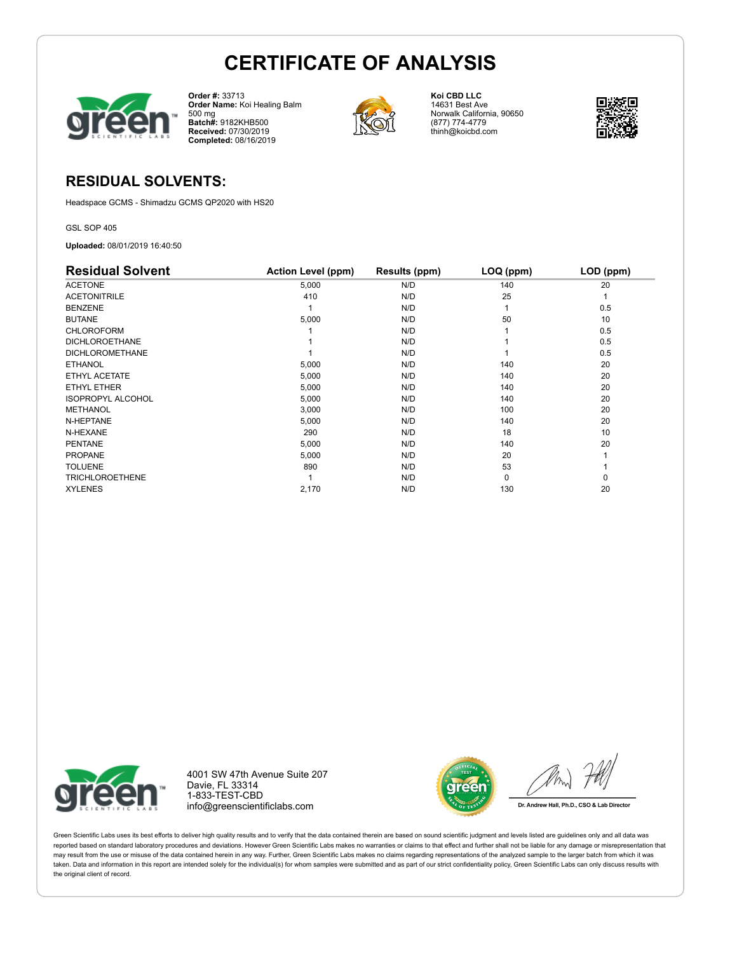

**Order #:** 33713 **Order Name:** Koi Healing Balm 500 mg **Batch#:** 9182KHB500 **Received:** 07/30/2019 **Completed:** 08/16/2019



**Koi CBD LLC** 14631 Best Ave Norwalk California, 90650 (877) 774-4779 thinh@koicbd.com



## **RESIDUAL SOLVENTS:**

Headspace GCMS - Shimadzu GCMS QP2020 with HS20

GSL SOP 405

**Uploaded:** 08/01/2019 16:40:50

| <b>Residual Solvent</b>  | <b>Action Level (ppm)</b> | Results (ppm) | LOQ (ppm) | LOD (ppm) |
|--------------------------|---------------------------|---------------|-----------|-----------|
| <b>ACETONE</b>           | 5,000                     | N/D           | 140       | 20        |
| <b>ACETONITRILE</b>      | 410                       | N/D           | 25        |           |
| <b>BENZENE</b>           |                           | N/D           |           | 0.5       |
| <b>BUTANE</b>            | 5,000                     | N/D           | 50        | 10        |
| <b>CHLOROFORM</b>        |                           | N/D           |           | 0.5       |
| <b>DICHLOROETHANE</b>    |                           | N/D           |           | 0.5       |
| <b>DICHLOROMETHANE</b>   |                           | N/D           |           | 0.5       |
| <b>ETHANOL</b>           | 5,000                     | N/D           | 140       | 20        |
| ETHYL ACETATE            | 5,000                     | N/D           | 140       | 20        |
| ETHYL ETHER              | 5,000                     | N/D           | 140       | 20        |
| <b>ISOPROPYL ALCOHOL</b> | 5,000                     | N/D           | 140       | 20        |
| <b>METHANOL</b>          | 3,000                     | N/D           | 100       | 20        |
| N-HEPTANE                | 5,000                     | N/D           | 140       | 20        |
| N-HEXANE                 | 290                       | N/D           | 18        | 10        |
| <b>PENTANE</b>           | 5,000                     | N/D           | 140       | 20        |
| <b>PROPANE</b>           | 5,000                     | N/D           | 20        |           |
| <b>TOLUENE</b>           | 890                       | N/D           | 53        |           |
| <b>TRICHLOROETHENE</b>   |                           | N/D           | $\Omega$  | 0         |
| <b>XYLENES</b>           | 2,170                     | N/D           | 130       | 20        |



4001 SW 47th Avenue Suite 207 Davie, FL 33314 1-833-TEST-CBD info@greenscientificlabs.com



Dr. Andrew Hall, Ph.D., CSO & Lab Director

Green Scientific Labs uses its best efforts to deliver high quality results and to verify that the data contained therein are based on sound scientific judgment and levels listed are guidelines only and all data was reported based on standard laboratory procedures and deviations. However Green Scientific Labs makes no warranties or claims to that effect and further shall not be liable for any damage or misrepresentation that may result from the use or misuse of the data contained herein in any way. Further, Green Scientific Labs makes no claims regarding representations of the analyzed sample to the larger batch from which it was taken. Data and information in this report are intended solely for the individual(s) for whom samples were submitted and as part of our strict confidentiality policy, Green Scientific Labs can only discuss results with the original client of record.